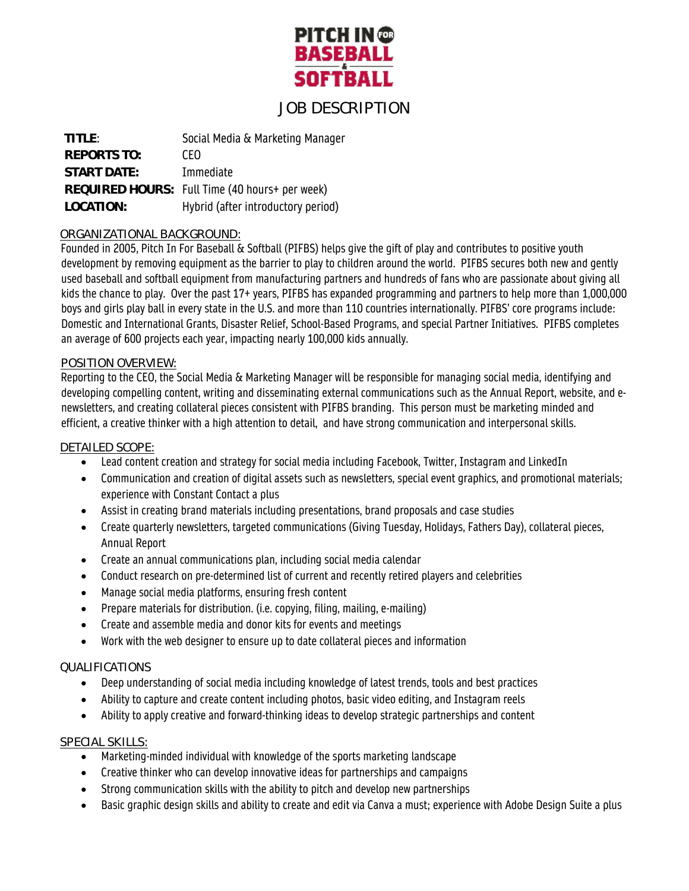

# JOB DESCRIPTION

| TITIF:             | Social Media & Marketing Manager               |
|--------------------|------------------------------------------------|
| <b>REPORTS TO:</b> | CFO                                            |
| START DATE:        | Immediate                                      |
|                    | REQUIRED HOURS: Full Time (40 hours+ per week) |
| LOCATION:          | Hybrid (after introductory period)             |

## ORGANIZATIONAL BACKGROUND:

Founded in 2005, Pitch In For Baseball & Softball (PIFBS) helps give the gift of play and contributes to positive youth development by removing equipment as the barrier to play to children around the world. PIFBS secures both new and gently used baseball and softball equipment from manufacturing partners and hundreds of fans who are passionate about giving all kids the chance to play. Over the past 17+ years, PIFBS has expanded programming and partners to help more than 1,000,000 boys and girls play ball in every state in the U.S. and more than 110 countries internationally. PIFBS' core programs include: Domestic and International Grants, Disaster Relief, School-Based Programs, and special Partner Initiatives. PIFBS completes an average of 600 projects each year, impacting nearly 100,000 kids annually.

#### POSITION OVERVIEW:

Reporting to the CEO, the Social Media & Marketing Manager will be responsible for managing social media, identifying and developing compelling content, writing and disseminating external communications such as the Annual Report, website, and enewsletters, and creating collateral pieces consistent with PIFBS branding. This person must be marketing minded and efficient, a creative thinker with a high attention to detail, and have strong communication and interpersonal skills.

#### DETAILED SCOPE:

- Lead content creation and strategy for social media including Facebook, Twitter, Instagram and LinkedIn
- Communication and creation of digital assets such as newsletters, special event graphics, and promotional materials; experience with Constant Contact a plus
- Assist in creating brand materials including presentations, brand proposals and case studies
- Create quarterly newsletters, targeted communications (Giving Tuesday, Holidays, Fathers Day), collateral pieces, Annual Report
- Create an annual communications plan, including social media calendar
- Conduct research on pre-determined list of current and recently retired players and celebrities
- Manage social media platforms, ensuring fresh content
- Prepare materials for distribution. (i.e. copying, filing, mailing, e-mailing)
- Create and assemble media and donor kits for events and meetings
- Work with the web designer to ensure up to date collateral pieces and information

### QUALIFICATIONS

- Deep understanding of social media including knowledge of latest trends, tools and best practices
- Ability to capture and create content including photos, basic video editing, and Instagram reels
- Ability to apply creative and forward-thinking ideas to develop strategic partnerships and content

### SPECIAL SKILLS:

- Marketing-minded individual with knowledge of the sports marketing landscape
- Creative thinker who can develop innovative ideas for partnerships and campaigns
- Strong communication skills with the ability to pitch and develop new partnerships
- Basic graphic design skills and ability to create and edit via Canva a must; experience with Adobe Design Suite a plus